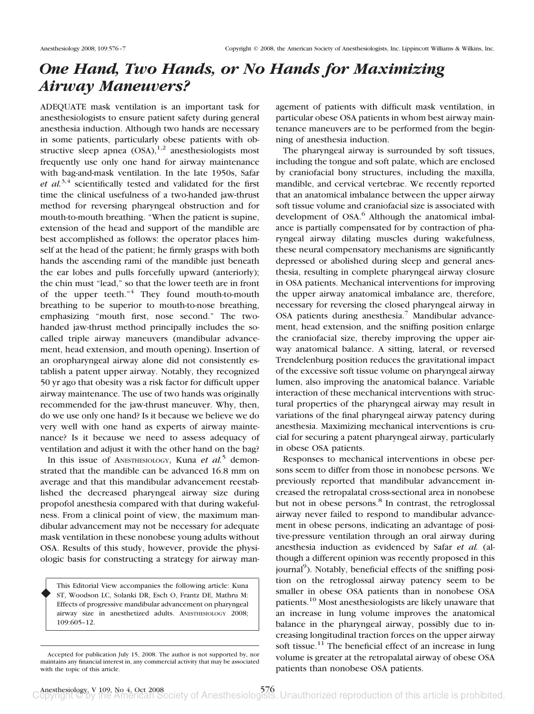## *One Hand, Two Hands, or No Hands for Maximizing Airway Maneuvers?*

ADEQUATE mask ventilation is an important task for anesthesiologists to ensure patient safety during general anesthesia induction. Although two hands are necessary in some patients, particularly obese patients with obstructive sleep apnea  $(OSA)$ ,<sup>1,2</sup> anesthesiologists most frequently use only one hand for airway maintenance with bag-and-mask ventilation. In the late 1950s, Safar *et al.*3,4 scientifically tested and validated for the first time the clinical usefulness of a two-handed jaw-thrust method for reversing pharyngeal obstruction and for mouth-to-mouth breathing. "When the patient is supine, extension of the head and support of the mandible are best accomplished as follows: the operator places himself at the head of the patient; he firmly grasps with both hands the ascending rami of the mandible just beneath the ear lobes and pulls forcefully upward (anteriorly); the chin must "lead," so that the lower teeth are in front of the upper teeth. $n<sup>4</sup>$  They found mouth-to-mouth breathing to be superior to mouth-to-nose breathing, emphasizing "mouth first, nose second." The twohanded jaw-thrust method principally includes the socalled triple airway maneuvers (mandibular advancement, head extension, and mouth opening). Insertion of an oropharyngeal airway alone did not consistently establish a patent upper airway. Notably, they recognized 50 yr ago that obesity was a risk factor for difficult upper airway maintenance. The use of two hands was originally recommended for the jaw-thrust maneuver. Why, then, do we use only one hand? Is it because we believe we do very well with one hand as experts of airway maintenance? Is it because we need to assess adequacy of ventilation and adjust it with the other hand on the bag?

In this issue of ANESTHESIOLOGY, Kuna *et al.*<sup>5</sup> demonstrated that the mandible can be advanced 16.8 mm on average and that this mandibular advancement reestablished the decreased pharyngeal airway size during propofol anesthesia compared with that during wakefulness. From a clinical point of view, the maximum mandibular advancement may not be necessary for adequate mask ventilation in these nonobese young adults without OSA. Results of this study, however, provide the physiologic basis for constructing a strategy for airway man-

This Editorial View accompanies the following article: Kuna ST, Woodson LC, Solanki DR, Esch O, Frantz DE, Mathru M: Effects of progressive mandibular advancement on pharyngeal airway size in anesthetized adults. ANESTHESIOLOGY 2008; 109:605–12. ♦

agement of patients with difficult mask ventilation, in particular obese OSA patients in whom best airway maintenance maneuvers are to be performed from the beginning of anesthesia induction.

The pharyngeal airway is surrounded by soft tissues, including the tongue and soft palate, which are enclosed by craniofacial bony structures, including the maxilla, mandible, and cervical vertebrae. We recently reported that an anatomical imbalance between the upper airway soft tissue volume and craniofacial size is associated with development of OSA.<sup>6</sup> Although the anatomical imbalance is partially compensated for by contraction of pharyngeal airway dilating muscles during wakefulness, these neural compensatory mechanisms are significantly depressed or abolished during sleep and general anesthesia, resulting in complete pharyngeal airway closure in OSA patients. Mechanical interventions for improving the upper airway anatomical imbalance are, therefore, necessary for reversing the closed pharyngeal airway in OSA patients during anesthesia.<sup>7</sup> Mandibular advancement, head extension, and the sniffing position enlarge the craniofacial size, thereby improving the upper airway anatomical balance. A sitting, lateral, or reversed Trendelenburg position reduces the gravitational impact of the excessive soft tissue volume on pharyngeal airway lumen, also improving the anatomical balance. Variable interaction of these mechanical interventions with structural properties of the pharyngeal airway may result in variations of the final pharyngeal airway patency during anesthesia. Maximizing mechanical interventions is crucial for securing a patent pharyngeal airway, particularly in obese OSA patients.

Responses to mechanical interventions in obese persons seem to differ from those in nonobese persons. We previously reported that mandibular advancement increased the retropalatal cross-sectional area in nonobese but not in obese persons.<sup>8</sup> In contrast, the retroglossal airway never failed to respond to mandibular advancement in obese persons, indicating an advantage of positive-pressure ventilation through an oral airway during anesthesia induction as evidenced by Safar *et al.* (although a different opinion was recently proposed in this journal<sup>9</sup>). Notably, beneficial effects of the sniffing position on the retroglossal airway patency seem to be smaller in obese OSA patients than in nonobese OSA patients.10 Most anesthesiologists are likely unaware that an increase in lung volume improves the anatomical balance in the pharyngeal airway, possibly due to increasing longitudinal traction forces on the upper airway soft tissue.<sup>11</sup> The beneficial effect of an increase in lung volume is greater at the retropalatal airway of obese OSA patients than nonobese OSA patients.

Accepted for publication July 15, 2008. The author is not supported by, nor maintains any financial interest in, any commercial activity that may be associated with the topic of this article.